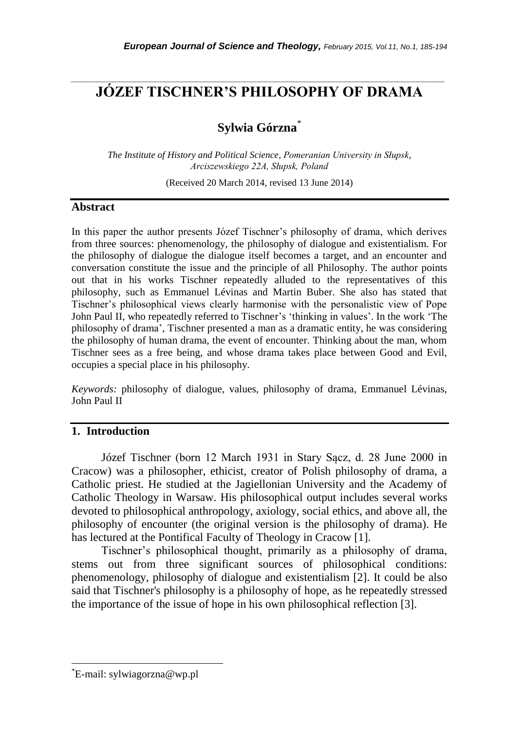## *\_\_\_\_\_\_\_\_\_\_\_\_\_\_\_\_\_\_\_\_\_\_\_\_\_\_\_\_\_\_\_\_\_\_\_\_\_\_\_\_\_\_\_\_\_\_\_\_\_\_\_\_\_\_\_\_\_\_\_\_\_\_\_\_\_\_\_\_\_\_\_* **JÓZEF TISCHNER'S PHILOSOPHY OF DRAMA**

# **Sylwia Górzna**\*

*The Institute of History and Political Science, Pomeranian University in Słupsk, Arciszewskiego 22A, Słupsk, Poland*

(Received 20 March 2014, revised 13 June 2014)

#### **Abstract**

In this paper the author presents Józef Tischner"s philosophy of drama, which derives from three sources: phenomenology, the philosophy of dialogue and existentialism. For the philosophy of dialogue the dialogue itself becomes a target, and an encounter and conversation constitute the issue and the principle of all Philosophy. The author points out that in his works Tischner repeatedly alluded to the representatives of this philosophy, such as Emmanuel Lévinas and Martin Buber. She also has stated that Tischner"s philosophical views clearly harmonise with the personalistic view of Pope John Paul II, who repeatedly referred to Tischner's 'thinking in values'. In the work 'The philosophy of drama", Tischner presented a man as a dramatic entity, he was considering the philosophy of human drama, the event of encounter. Thinking about the man, whom Tischner sees as a free being, and whose drama takes place between Good and Evil, occupies a special place in his philosophy.

*Keywords:* philosophy of dialogue, values, philosophy of drama, Emmanuel Lévinas, John Paul II

### **1. Introduction**

Józef Tischner (born 12 March 1931 in Stary Sącz, d. 28 June 2000 in Cracow) was a philosopher, ethicist, creator of Polish philosophy of drama, a Catholic priest. He studied at the Jagiellonian University and the Academy of Catholic Theology in Warsaw. His philosophical output includes several works devoted to philosophical anthropology, axiology, social ethics, and above all, the philosophy of encounter (the original version is the philosophy of drama). He has lectured at the Pontifical Faculty of Theology in Cracow [1].

Tischner"s philosophical thought, primarily as a philosophy of drama, stems out from three significant sources of philosophical conditions: phenomenology, philosophy of dialogue and existentialism [2]. It could be also said that Tischner's philosophy is a philosophy of hope, as he repeatedly stressed the importance of the issue of hope in his own philosophical reflection [3].

l

<sup>\*</sup>E-mail: sylwiagorzna@wp.pl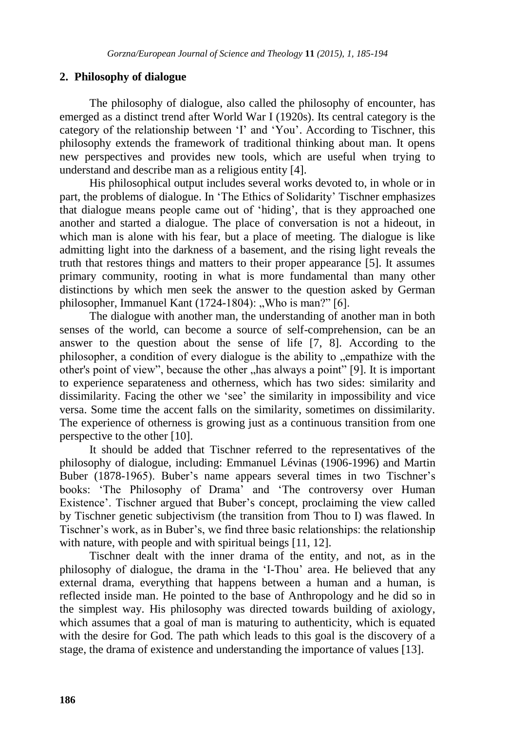## **2. Philosophy of dialogue**

The philosophy of dialogue, also called the philosophy of encounter, has emerged as a distinct trend after World War I (1920s). Its central category is the category of the relationship between "I" and "You". According to Tischner, this philosophy extends the framework of traditional thinking about man. It opens new perspectives and provides new tools, which are useful when trying to understand and describe man as a religious entity [4].

His philosophical output includes several works devoted to, in whole or in part, the problems of dialogue. In "The Ethics of Solidarity" Tischner emphasizes that dialogue means people came out of "hiding", that is they approached one another and started a dialogue. The place of conversation is not a hideout, in which man is alone with his fear, but a place of meeting. The dialogue is like admitting light into the darkness of a basement, and the rising light reveals the truth that restores things and matters to their proper appearance [5]. It assumes primary community, rooting in what is more fundamental than many other distinctions by which men seek the answer to the question asked by German philosopher, Immanuel Kant  $(1724-1804)$ : "Who is man?" [6].

The dialogue with another man, the understanding of another man in both senses of the world, can become a source of self-comprehension, can be an answer to the question about the sense of life [7, 8]. According to the philosopher, a condition of every dialogue is the ability to "empathize with the other's point of view", because the other "has always a point" [9]. It is important to experience separateness and otherness, which has two sides: similarity and dissimilarity. Facing the other we "see" the similarity in impossibility and vice versa. Some time the accent falls on the similarity, sometimes on dissimilarity. The experience of otherness is growing just as a continuous transition from one perspective to the other [10].

It should be added that Tischner referred to the representatives of the philosophy of dialogue, including: Emmanuel Lévinas (1906-1996) and Martin Buber (1878-1965). Buber's name appears several times in two Tischner's books: "The Philosophy of Drama" and "The controversy over Human Existence'. Tischner argued that Buber's concept, proclaiming the view called by Tischner genetic subjectivism (the transition from Thou to I) was flawed. In Tischner"s work, as in Buber"s, we find three basic relationships: the relationship with nature, with people and with spiritual beings [11, 12].

Tischner dealt with the inner drama of the entity, and not, as in the philosophy of dialogue, the drama in the "I-Thou" area. He believed that any external drama, everything that happens between a human and a human, is reflected inside man. He pointed to the base of Anthropology and he did so in the simplest way. His philosophy was directed towards building of axiology, which assumes that a goal of man is maturing to authenticity, which is equated with the desire for God. The path which leads to this goal is the discovery of a stage, the drama of existence and understanding the importance of values [13].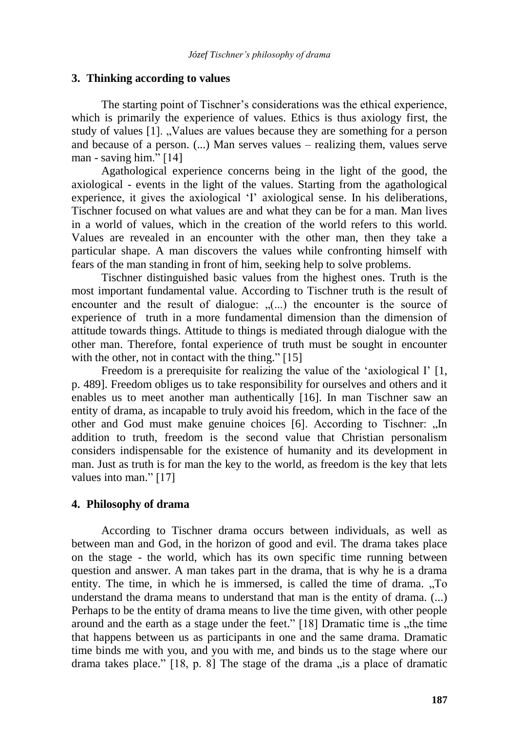#### **3. Thinking according to values**

The starting point of Tischner's considerations was the ethical experience, which is primarily the experience of values. Ethics is thus axiology first, the study of values [1]. "Values are values because they are something for a person and because of a person. (...) Man serves values – realizing them, values serve man - saving him." [14]

Agathological experience concerns being in the light of the good, the axiological - events in the light of the values. Starting from the agathological experience, it gives the axiological 'I' axiological sense. In his deliberations, Tischner focused on what values are and what they can be for a man. Man lives in a world of values, which in the creation of the world refers to this world. Values are revealed in an encounter with the other man, then they take a particular shape. A man discovers the values while confronting himself with fears of the man standing in front of him, seeking help to solve problems.

Tischner distinguished basic values from the highest ones. Truth is the most important fundamental value. According to Tischner truth is the result of encounter and the result of dialogue:  $(n, n)$  the encounter is the source of experience of truth in a more fundamental dimension than the dimension of attitude towards things. Attitude to things is mediated through dialogue with the other man. Therefore, fontal experience of truth must be sought in encounter with the other, not in contact with the thing." [15]

Freedom is a prerequisite for realizing the value of the 'axiological I' [1, p. 489]. Freedom obliges us to take responsibility for ourselves and others and it enables us to meet another man authentically [16]. In man Tischner saw an entity of drama, as incapable to truly avoid his freedom, which in the face of the other and God must make genuine choices [6]. According to Tischner: "In addition to truth, freedom is the second value that Christian personalism considers indispensable for the existence of humanity and its development in man. Just as truth is for man the key to the world, as freedom is the key that lets values into man." [17]

#### **4. Philosophy of drama**

According to Tischner drama occurs between individuals, as well as between man and God, in the horizon of good and evil. The drama takes place on the stage - the world, which has its own specific time running between question and answer. A man takes part in the drama, that is why he is a drama entity. The time, in which he is immersed, is called the time of drama. "To understand the drama means to understand that man is the entity of drama. (...) Perhaps to be the entity of drama means to live the time given, with other people around and the earth as a stage under the feet."  $[18]$  Dramatic time is "the time that happens between us as participants in one and the same drama. Dramatic time binds me with you, and you with me, and binds us to the stage where our drama takes place."  $[18, p. 8]$  The stage of the drama  $\mu$  is a place of dramatic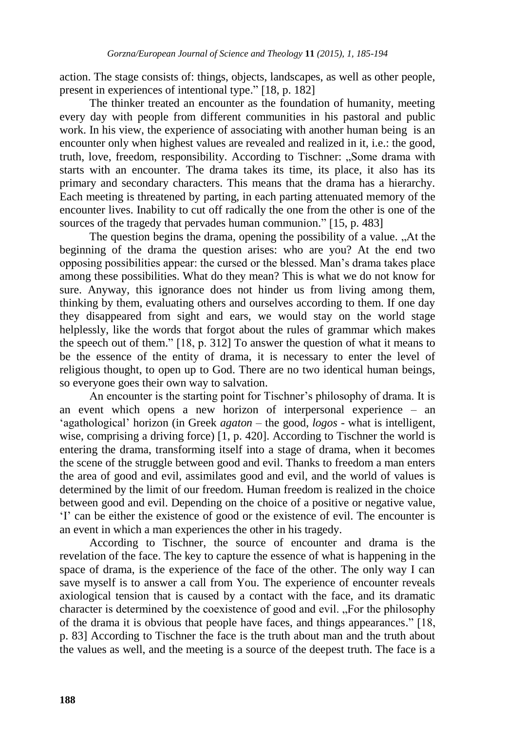action. The stage consists of: things, objects, landscapes, as well as other people, present in experiences of intentional type." [18, p. 182]

The thinker treated an encounter as the foundation of humanity, meeting every day with people from different communities in his pastoral and public work. In his view, the experience of associating with another human being is an encounter only when highest values are revealed and realized in it, i.e.: the good, truth, love, freedom, responsibility. According to Tischner: ..Some drama with starts with an encounter. The drama takes its time, its place, it also has its primary and secondary characters. This means that the drama has a hierarchy. Each meeting is threatened by parting, in each parting attenuated memory of the encounter lives. Inability to cut off radically the one from the other is one of the sources of the tragedy that pervades human communion." [15, p. 483]

The question begins the drama, opening the possibility of a value. "At the beginning of the drama the question arises: who are you? At the end two opposing possibilities appear: the cursed or the blessed. Man"s drama takes place among these possibilities. What do they mean? This is what we do not know for sure. Anyway, this ignorance does not hinder us from living among them, thinking by them, evaluating others and ourselves according to them. If one day they disappeared from sight and ears, we would stay on the world stage helplessly, like the words that forgot about the rules of grammar which makes the speech out of them." [18, p. 312] To answer the question of what it means to be the essence of the entity of drama, it is necessary to enter the level of religious thought, to open up to God. There are no two identical human beings, so everyone goes their own way to salvation.

An encounter is the starting point for Tischner"s philosophy of drama. It is an event which opens a new horizon of interpersonal experience – an "agathological" horizon (in Greek *agaton* – the good, *logos* - what is intelligent, wise, comprising a driving force) [1, p. 420]. According to Tischner the world is entering the drama, transforming itself into a stage of drama, when it becomes the scene of the struggle between good and evil. Thanks to freedom a man enters the area of good and evil, assimilates good and evil, and the world of values is determined by the limit of our freedom. Human freedom is realized in the choice between good and evil. Depending on the choice of a positive or negative value, "I" can be either the existence of good or the existence of evil. The encounter is an event in which a man experiences the other in his tragedy.

According to Tischner, the source of encounter and drama is the revelation of the face. The key to capture the essence of what is happening in the space of drama, is the experience of the face of the other. The only way I can save myself is to answer a call from You. The experience of encounter reveals axiological tension that is caused by a contact with the face, and its dramatic character is determined by the coexistence of good and evil. "For the philosophy" of the drama it is obvious that people have faces, and things appearances." [18, p. 83] According to Tischner the face is the truth about man and the truth about the values as well, and the meeting is a source of the deepest truth. The face is a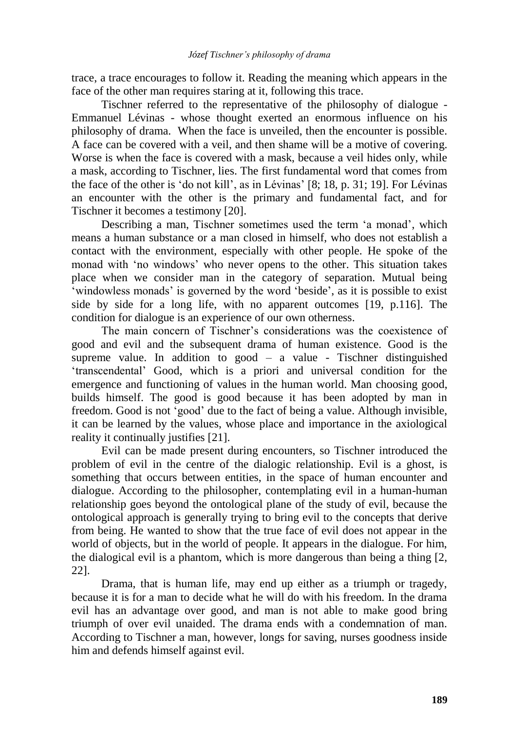trace, a trace encourages to follow it. Reading the meaning which appears in the face of the other man requires staring at it, following this trace.

Tischner referred to the representative of the philosophy of dialogue - Emmanuel Lévinas - whose thought exerted an enormous influence on his philosophy of drama. When the face is unveiled, then the encounter is possible. A face can be covered with a veil, and then shame will be a motive of covering. Worse is when the face is covered with a mask, because a veil hides only, while a mask, according to Tischner, lies. The first fundamental word that comes from the face of the other is 'do not kill', as in Lévinas' [8; 18, p. 31; 19]. For Lévinas an encounter with the other is the primary and fundamental fact, and for Tischner it becomes a testimony [20].

Describing a man, Tischner sometimes used the term 'a monad', which means a human substance or a man closed in himself, who does not establish a contact with the environment, especially with other people. He spoke of the monad with "no windows" who never opens to the other. This situation takes place when we consider man in the category of separation. Mutual being "windowless monads" is governed by the word "beside", as it is possible to exist side by side for a long life, with no apparent outcomes [19, p.116]. The condition for dialogue is an experience of our own otherness.

The main concern of Tischner"s considerations was the coexistence of good and evil and the subsequent drama of human existence. Good is the supreme value. In addition to good  $-$  a value - Tischner distinguished "transcendental" Good, which is a priori and universal condition for the emergence and functioning of values in the human world. Man choosing good, builds himself. The good is good because it has been adopted by man in freedom. Good is not "good" due to the fact of being a value. Although invisible, it can be learned by the values, whose place and importance in the axiological reality it continually justifies [21].

Evil can be made present during encounters, so Tischner introduced the problem of evil in the centre of the dialogic relationship. Evil is a ghost, is something that occurs between entities, in the space of human encounter and dialogue. According to the philosopher, contemplating evil in a human-human relationship goes beyond the ontological plane of the study of evil, because the ontological approach is generally trying to bring evil to the concepts that derive from being. He wanted to show that the true face of evil does not appear in the world of objects, but in the world of people. It appears in the dialogue. For him, the dialogical evil is a phantom, which is more dangerous than being a thing [2, 22].

Drama, that is human life, may end up either as a triumph or tragedy, because it is for a man to decide what he will do with his freedom. In the drama evil has an advantage over good, and man is not able to make good bring triumph of over evil unaided. The drama ends with a condemnation of man. According to Tischner a man, however, longs for saving, nurses goodness inside him and defends himself against evil.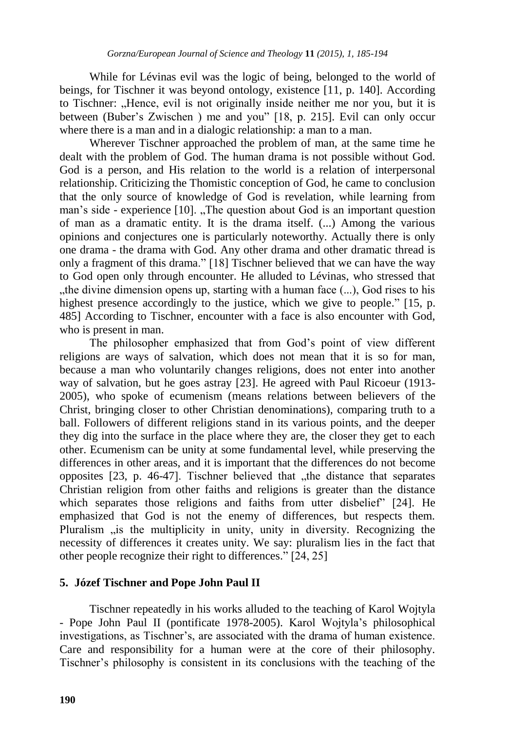While for Lévinas evil was the logic of being, belonged to the world of beings, for Tischner it was beyond ontology, existence [11, p. 140]. According to Tischner: "Hence, evil is not originally inside neither me nor you, but it is between (Buber's Zwischen ) me and you" [18, p. 215]. Evil can only occur where there is a man and in a dialogic relationship: a man to a man.

Wherever Tischner approached the problem of man, at the same time he dealt with the problem of God. The human drama is not possible without God. God is a person, and His relation to the world is a relation of interpersonal relationship. Criticizing the Thomistic conception of God, he came to conclusion that the only source of knowledge of God is revelation, while learning from man's side - experience [10]. "The question about God is an important question of man as a dramatic entity. It is the drama itself. (...) Among the various opinions and conjectures one is particularly noteworthy. Actually there is only one drama - the drama with God. Any other drama and other dramatic thread is only a fragment of this drama." [18] Tischner believed that we can have the way to God open only through encounter. He alluded to Lévinas, who stressed that "the divine dimension opens up, starting with a human face  $(\ldots)$ . God rises to his highest presence accordingly to the justice, which we give to people." [15, p. 485] According to Tischner, encounter with a face is also encounter with God, who is present in man.

The philosopher emphasized that from God"s point of view different religions are ways of salvation, which does not mean that it is so for man, because a man who voluntarily changes religions, does not enter into another way of salvation, but he goes astray [23]. He agreed with Paul Ricoeur (1913- 2005), who spoke of ecumenism (means relations between believers of the Christ, bringing closer to other Christian denominations), comparing truth to a ball. Followers of different religions stand in its various points, and the deeper they dig into the surface in the place where they are, the closer they get to each other. Ecumenism can be unity at some fundamental level, while preserving the differences in other areas, and it is important that the differences do not become opposites  $[23, p. 46-47]$ . Tischner believed that  $n$ , the distance that separates Christian religion from other faiths and religions is greater than the distance which separates those religions and faiths from utter disbelief" [24]. He emphasized that God is not the enemy of differences, but respects them. Pluralism  $\mu$  is the multiplicity in unity, unity in diversity. Recognizing the necessity of differences it creates unity. We say: pluralism lies in the fact that other people recognize their right to differences." [24, 25]

#### **5. Józef Tischner and Pope John Paul II**

Tischner repeatedly in his works alluded to the teaching of Karol Wojtyla - Pope John Paul II (pontificate 1978-2005). Karol Wojtyla"s philosophical investigations, as Tischner"s, are associated with the drama of human existence. Care and responsibility for a human were at the core of their philosophy. Tischner"s philosophy is consistent in its conclusions with the teaching of the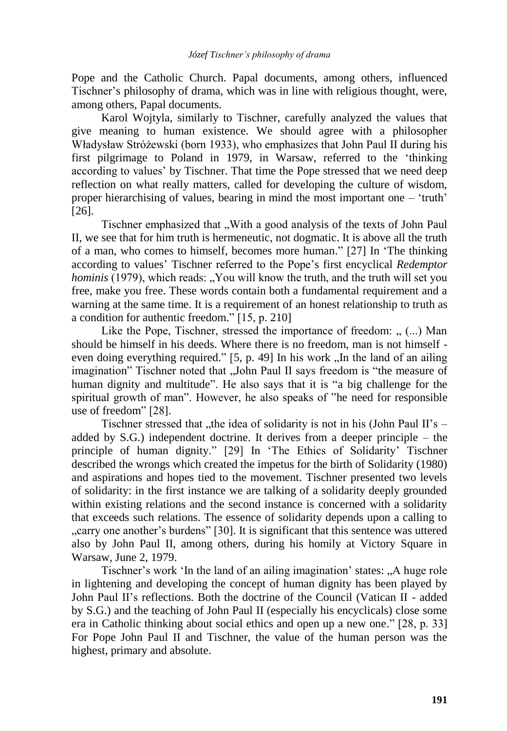Pope and the Catholic Church. Papal documents, among others, influenced Tischner"s philosophy of drama, which was in line with religious thought, were, among others, Papal documents.

Karol Wojtyla, similarly to Tischner, carefully analyzed the values that give meaning to human existence. We should agree with a philosopher Władysław Stróżewski (born 1933), who emphasizes that John Paul II during his first pilgrimage to Poland in 1979, in Warsaw, referred to the "thinking according to values' by Tischner. That time the Pope stressed that we need deep reflection on what really matters, called for developing the culture of wisdom, proper hierarchising of values, bearing in mind the most important one – "truth" [26].

Tischner emphasized that "With a good analysis of the texts of John Paul II, we see that for him truth is hermeneutic, not dogmatic. It is above all the truth of a man, who comes to himself, becomes more human." [27] In "The thinking according to values" Tischner referred to the Pope"s first encyclical *Redemptor hominis* (1979), which reads: "You will know the truth, and the truth will set you free, make you free. These words contain both a fundamental requirement and a warning at the same time. It is a requirement of an honest relationship to truth as a condition for authentic freedom." [15, p. 210]

Like the Pope, Tischner, stressed the importance of freedom:  $($ ...) Man should be himself in his deeds. Where there is no freedom, man is not himself even doing everything required."  $[5, p. 49]$  In his work  $\Box$  In the land of an ailing imagination" Tischner noted that "John Paul II says freedom is "the measure of human dignity and multitude". He also says that it is "a big challenge for the spiritual growth of man". However, he also speaks of "he need for responsible use of freedom" [28].

Tischner stressed that  $\mu$ the idea of solidarity is not in his (John Paul II's – added by S.G.) independent doctrine. It derives from a deeper principle – the principle of human dignity." [29] In 'The Ethics of Solidarity' Tischner described the wrongs which created the impetus for the birth of Solidarity (1980) and aspirations and hopes tied to the movement. Tischner presented two levels of solidarity: in the first instance we are talking of a solidarity deeply grounded within existing relations and the second instance is concerned with a solidarity that exceeds such relations. The essence of solidarity depends upon a calling to "carry one another's burdens" [30]. It is significant that this sentence was uttered also by John Paul II, among others, during his homily at Victory Square in Warsaw, June 2, 1979.

Tischner's work 'In the land of an ailing imagination' states: "A huge role in lightening and developing the concept of human dignity has been played by John Paul II"s reflections. Both the doctrine of the Council (Vatican II - added by S.G.) and the teaching of John Paul II (especially his encyclicals) close some era in Catholic thinking about social ethics and open up a new one." [28, p. 33] For Pope John Paul II and Tischner, the value of the human person was the highest, primary and absolute.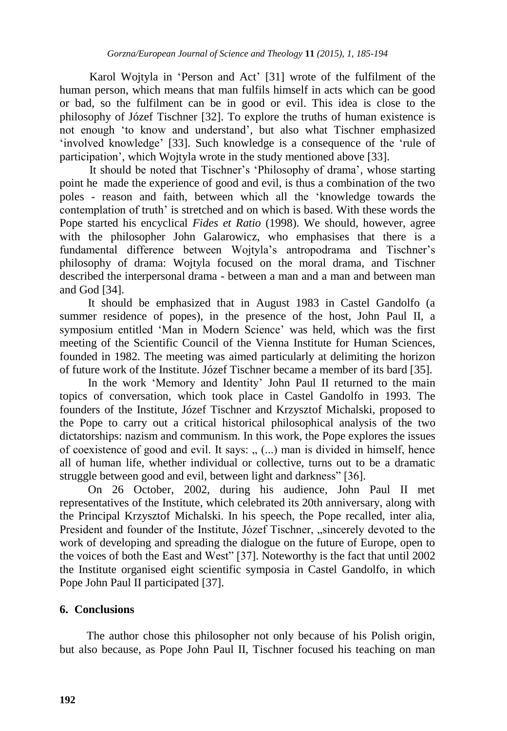Karol Wojtyla in "Person and Act" [31] wrote of the fulfilment of the human person, which means that man fulfils himself in acts which can be good or bad, so the fulfilment can be in good or evil. This idea is close to the philosophy of Józef Tischner [32]. To explore the truths of human existence is not enough "to know and understand", but also what Tischner emphasized 'involved knowledge' [33]. Such knowledge is a consequence of the 'rule of participation", which Wojtyla wrote in the study mentioned above [33].

It should be noted that Tischner's 'Philosophy of drama', whose starting point he made the experience of good and evil, is thus a combination of the two poles - reason and faith, between which all the "knowledge towards the contemplation of truth' is stretched and on which is based. With these words the Pope started his encyclical *Fides et Ratio* (1998). We should, however, agree with the philosopher John Galarowicz, who emphasises that there is a fundamental difference between Wojtyla"s antropodrama and Tischner"s philosophy of drama: Wojtyla focused on the moral drama, and Tischner described the interpersonal drama - between a man and a man and between man and God [34].

It should be emphasized that in August 1983 in Castel Gandolfo (a summer residence of popes), in the presence of the host, John Paul II, a symposium entitled "Man in Modern Science" was held, which was the first meeting of the Scientific Council of the Vienna Institute for Human Sciences, founded in 1982. The meeting was aimed particularly at delimiting the horizon of future work of the Institute. Józef Tischner became a member of its bard [35].

In the work "Memory and Identity" John Paul II returned to the main topics of conversation, which took place in Castel Gandolfo in 1993. The founders of the Institute, Józef Tischner and Krzysztof Michalski, proposed to the Pope to carry out a critical historical philosophical analysis of the two dictatorships: nazism and communism. In this work, the Pope explores the issues of coexistence of good and evil. It says:  $($ ...) man is divided in himself, hence all of human life, whether individual or collective, turns out to be a dramatic struggle between good and evil, between light and darkness" [36].

On 26 October, 2002, during his audience, John Paul II met representatives of the Institute, which celebrated its 20th anniversary, along with the Principal Krzysztof Michalski. In his speech, the Pope recalled, inter alia, President and founder of the Institute, Józef Tischner, "sincerely devoted to the work of developing and spreading the dialogue on the future of Europe, open to the voices of both the East and West" [37]. Noteworthy is the fact that until 2002 the Institute organised eight scientific symposia in Castel Gandolfo, in which Pope John Paul II participated [37].

## **6. Conclusions**

The author chose this philosopher not only because of his Polish origin, but also because, as Pope John Paul II, Tischner focused his teaching on man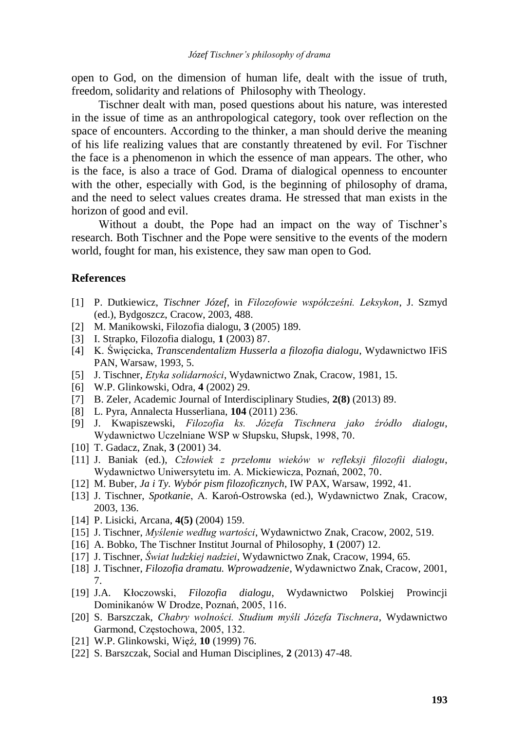open to God, on the dimension of human life, dealt with the issue of truth, freedom, solidarity and relations of Philosophy with Theology.

Tischner dealt with man, posed questions about his nature, was interested in the issue of time as an anthropological category, took over reflection on the space of encounters. According to the thinker, a man should derive the meaning of his life realizing values that are constantly threatened by evil. For Tischner the face is a phenomenon in which the essence of man appears. The other, who is the face, is also a trace of God. Drama of dialogical openness to encounter with the other, especially with God, is the beginning of philosophy of drama, and the need to select values creates drama. He stressed that man exists in the horizon of good and evil.

Without a doubt, the Pope had an impact on the way of Tischner"s research. Both Tischner and the Pope were sensitive to the events of the modern world, fought for man, his existence, they saw man open to God.

#### **References**

- [1] P. Dutkiewicz, *Tischner Józef*, in *Filozofowie współcześni. Leksykon*, J. Szmyd (ed.), Bydgoszcz, Cracow, 2003, 488.
- [2] M. Manikowski, Filozofia dialogu, **3** (2005) 189.
- [3] I. Strapko, Filozofia dialogu, **1** (2003) 87.
- [4] K. Święcicka, *Transcendentalizm Husserla a filozofia dialogu*, Wydawnictwo IFiS PAN, Warsaw, 1993, 5.
- [5] J. Tischner, *Etyka solidarności*, Wydawnictwo Znak, Cracow, 1981, 15.
- [6] W.P. Glinkowski, Odra, **4** (2002) 29.
- [7] B. Zeler, Academic Journal of Interdisciplinary Studies, **2(8)** (2013) 89.
- [8] L. Pyra, Annalecta Husserliana, **104** (2011) 236.
- [9] J. Kwapiszewski, *Filozofia ks. Józefa Tischnera jako źródło dialogu*, Wydawnictwo Uczelniane WSP w Słupsku, Słupsk, 1998, 70.
- [10] T. Gadacz, Znak, **3** (2001) 34.
- [11] J. Baniak (ed.), *Człowiek z przełomu wieków w refleksji filozofii dialogu*, Wydawnictwo Uniwersytetu im. A. Mickiewicza, Poznań, 2002, 70.
- [12] M. Buber, *Ja i Ty. Wybór pism filozoficznych*, IW PAX, Warsaw, 1992, 41.
- [13] J. Tischner, *Spotkanie*, A. Karoń-Ostrowska (ed.), Wydawnictwo Znak, Cracow, 2003, 136.
- [14] P. Lisicki, Arcana, **4(5)** (2004) 159.
- [15] J. Tischner, *Myślenie według wartości*, Wydawnictwo Znak, Cracow, 2002, 519.
- [16] A. Bobko, The Tischner Institut Journal of Philosophy, **1** (2007) 12.
- [17] J. Tischner, *Świat ludzkiej nadziei*, Wydawnictwo Znak, Cracow, 1994, 65.
- [18] J. Tischner, *Filozofia dramatu. Wprowadzenie*, Wydawnictwo Znak, Cracow, 2001, 7.
- [19] J.A. Kłoczowski, *Filozofia dialogu*, Wydawnictwo Polskiej Prowincji Dominikanów W Drodze, Poznań, 2005, 116.
- [20] S. Barszczak, *Chabry wolności. Studium myśli Józefa Tischnera*, Wydawnictwo Garmond, Częstochowa, 2005, 132.
- [21] W.P. Glinkowski, Więź, **10** (1999) 76.
- [22] S. Barszczak, Social and Human Disciplines, **2** (2013) 47-48.